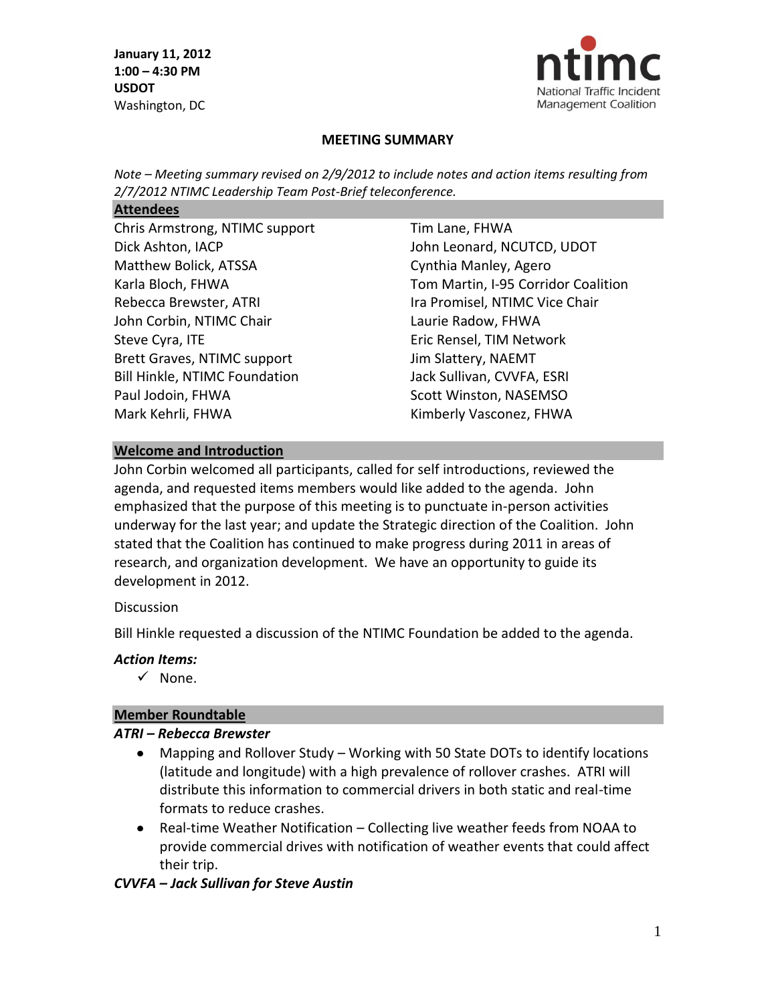

#### **MEETING SUMMARY**

*Note – Meeting summary revised on 2/9/2012 to include notes and action items resulting from 2/7/2012 NTIMC Leadership Team Post-Brief teleconference.*

#### **Attendees**

Chris Armstrong, NTIMC support Dick Ashton, IACP Matthew Bolick, ATSSA Karla Bloch, FHWA Rebecca Brewster, ATRI John Corbin, NTIMC Chair Steve Cyra, ITE Brett Graves, NTIMC support Bill Hinkle, NTIMC Foundation Paul Jodoin, FHWA Mark Kehrli, FHWA

Tim Lane, FHWA John Leonard, NCUTCD, UDOT Cynthia Manley, Agero Tom Martin, I-95 Corridor Coalition Ira Promisel, NTIMC Vice Chair Laurie Radow, FHWA Eric Rensel, TIM Network Jim Slattery, NAEMT Jack Sullivan, CVVFA, ESRI Scott Winston, NASEMSO Kimberly Vasconez, FHWA

#### **Welcome and Introduction**

John Corbin welcomed all participants, called for self introductions, reviewed the agenda, and requested items members would like added to the agenda. John emphasized that the purpose of this meeting is to punctuate in-person activities underway for the last year; and update the Strategic direction of the Coalition. John stated that the Coalition has continued to make progress during 2011 in areas of research, and organization development. We have an opportunity to guide its development in 2012.

#### **Discussion**

Bill Hinkle requested a discussion of the NTIMC Foundation be added to the agenda.

#### *Action Items:*

 $\checkmark$  None.

#### **Member Roundtable**

#### *ATRI – Rebecca Brewster*

- Mapping and Rollover Study Working with 50 State DOTs to identify locations  $\bullet$ (latitude and longitude) with a high prevalence of rollover crashes. ATRI will distribute this information to commercial drivers in both static and real-time formats to reduce crashes.
- Real-time Weather Notification Collecting live weather feeds from NOAA to provide commercial drives with notification of weather events that could affect their trip.

#### *CVVFA – Jack Sullivan for Steve Austin*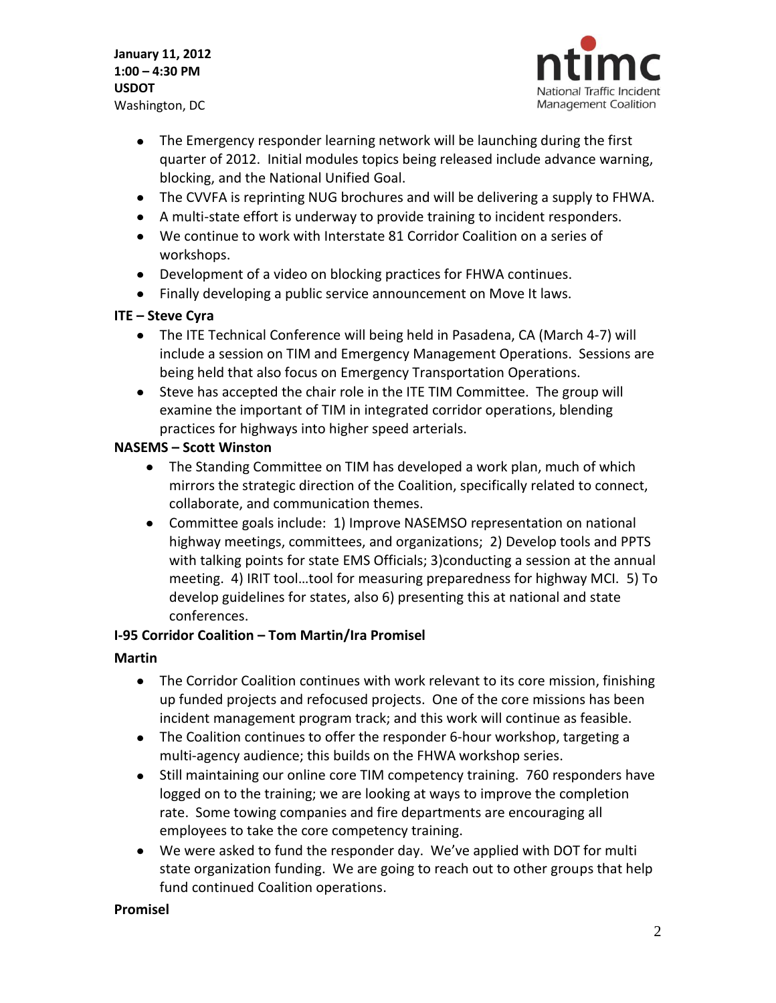

- The Emergency responder learning network will be launching during the first quarter of 2012. Initial modules topics being released include advance warning, blocking, and the National Unified Goal.
- The CVVFA is reprinting NUG brochures and will be delivering a supply to FHWA.
- A multi-state effort is underway to provide training to incident responders.
- We continue to work with Interstate 81 Corridor Coalition on a series of workshops.
- Development of a video on blocking practices for FHWA continues.
- Finally developing a public service announcement on Move It laws.

# **ITE – Steve Cyra**

- The ITE Technical Conference will being held in Pasadena, CA (March 4-7) will include a session on TIM and Emergency Management Operations. Sessions are being held that also focus on Emergency Transportation Operations.
- Steve has accepted the chair role in the ITE TIM Committee. The group will examine the important of TIM in integrated corridor operations, blending practices for highways into higher speed arterials.

# **NASEMS – Scott Winston**

- The Standing Committee on TIM has developed a work plan, much of which mirrors the strategic direction of the Coalition, specifically related to connect, collaborate, and communication themes.
- Committee goals include: 1) Improve NASEMSO representation on national highway meetings, committees, and organizations; 2) Develop tools and PPTS with talking points for state EMS Officials; 3)conducting a session at the annual meeting. 4) IRIT tool…tool for measuring preparedness for highway MCI. 5) To develop guidelines for states, also 6) presenting this at national and state conferences.

# **I-95 Corridor Coalition – Tom Martin/Ira Promisel**

# **Martin**

- The Corridor Coalition continues with work relevant to its core mission, finishing up funded projects and refocused projects. One of the core missions has been incident management program track; and this work will continue as feasible.
- The Coalition continues to offer the responder 6-hour workshop, targeting a multi-agency audience; this builds on the FHWA workshop series.
- Still maintaining our online core TIM competency training. 760 responders have logged on to the training; we are looking at ways to improve the completion rate. Some towing companies and fire departments are encouraging all employees to take the core competency training.
- We were asked to fund the responder day. We've applied with DOT for multi state organization funding. We are going to reach out to other groups that help fund continued Coalition operations.

# **Promisel**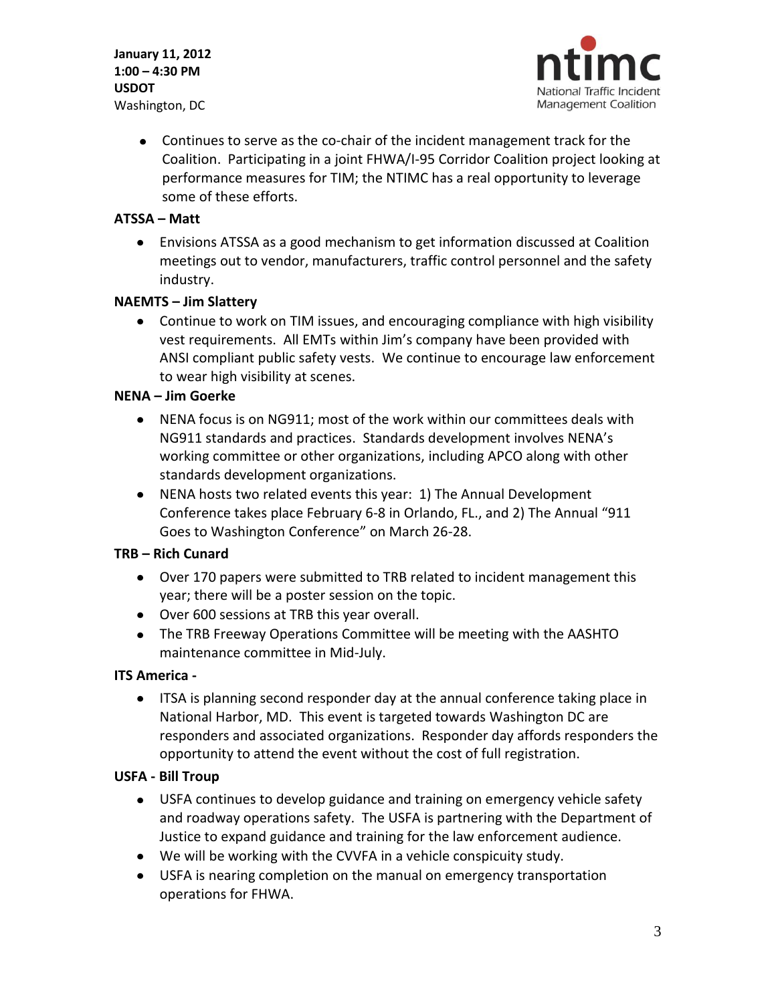

Continues to serve as the co-chair of the incident management track for the Coalition. Participating in a joint FHWA/I-95 Corridor Coalition project looking at performance measures for TIM; the NTIMC has a real opportunity to leverage some of these efforts.

#### **ATSSA – Matt**

Envisions ATSSA as a good mechanism to get information discussed at Coalition meetings out to vendor, manufacturers, traffic control personnel and the safety industry.

#### **NAEMTS – Jim Slattery**

Continue to work on TIM issues, and encouraging compliance with high visibility vest requirements. All EMTs within Jim's company have been provided with ANSI compliant public safety vests. We continue to encourage law enforcement to wear high visibility at scenes.

#### **NENA – Jim Goerke**

- NENA focus is on NG911; most of the work within our committees deals with NG911 standards and practices. Standards development involves NENA's working committee or other organizations, including APCO along with other standards development organizations.
- NENA hosts two related events this year: 1) The Annual Development Conference takes place February 6-8 in Orlando, FL., and 2) The Annual "911 Goes to Washington Conference" on March 26-28.

# **TRB – Rich Cunard**

- Over 170 papers were submitted to TRB related to incident management this year; there will be a poster session on the topic.
- Over 600 sessions at TRB this year overall.
- The TRB Freeway Operations Committee will be meeting with the AASHTO maintenance committee in Mid-July.

#### **ITS America -**

ITSA is planning second responder day at the annual conference taking place in National Harbor, MD. This event is targeted towards Washington DC are responders and associated organizations. Responder day affords responders the opportunity to attend the event without the cost of full registration.

# **USFA - Bill Troup**

- USFA continues to develop guidance and training on emergency vehicle safety and roadway operations safety. The USFA is partnering with the Department of Justice to expand guidance and training for the law enforcement audience.
- We will be working with the CVVFA in a vehicle conspicuity study.
- USFA is nearing completion on the manual on emergency transportation operations for FHWA.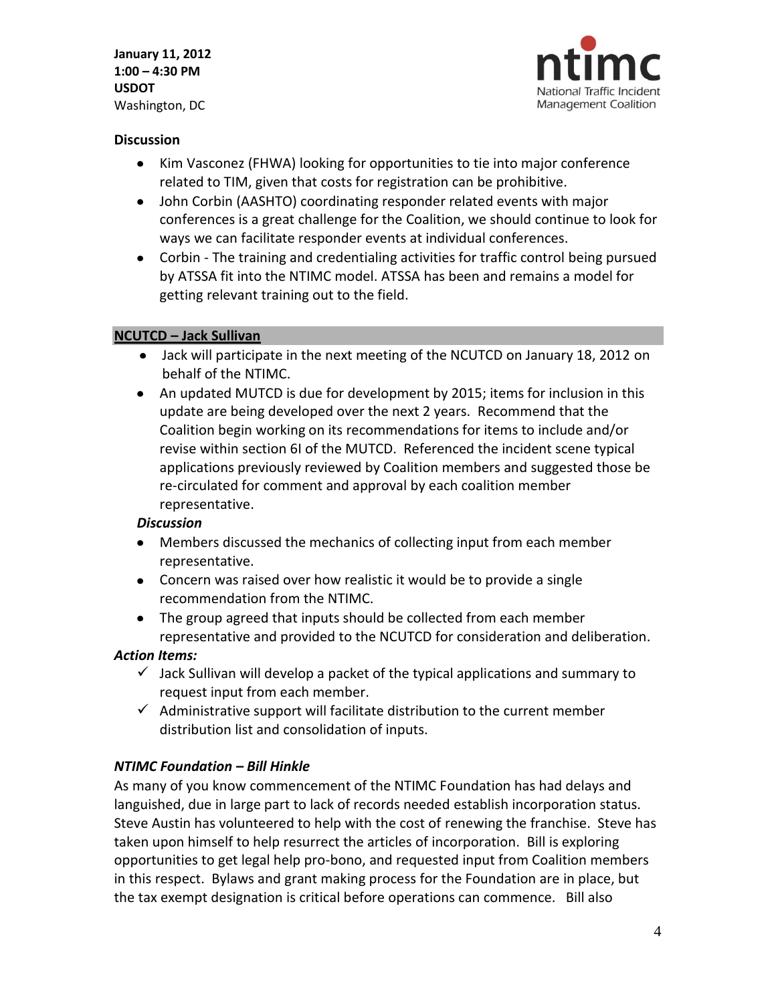

#### **Discussion**

- Kim Vasconez (FHWA) looking for opportunities to tie into major conference related to TIM, given that costs for registration can be prohibitive.
- John Corbin (AASHTO) coordinating responder related events with major conferences is a great challenge for the Coalition, we should continue to look for ways we can facilitate responder events at individual conferences.
- Corbin The training and credentialing activities for traffic control being pursued by ATSSA fit into the NTIMC model. ATSSA has been and remains a model for getting relevant training out to the field.

# **NCUTCD – Jack Sullivan**

- Jack will participate in the next meeting of the NCUTCD on January 18, 2012 on behalf of the NTIMC.
- An updated MUTCD is due for development by 2015; items for inclusion in this update are being developed over the next 2 years. Recommend that the Coalition begin working on its recommendations for items to include and/or revise within section 6I of the MUTCD. Referenced the incident scene typical applications previously reviewed by Coalition members and suggested those be re-circulated for comment and approval by each coalition member representative.

# *Discussion*

- Members discussed the mechanics of collecting input from each member representative.
- Concern was raised over how realistic it would be to provide a single recommendation from the NTIMC.
- The group agreed that inputs should be collected from each member representative and provided to the NCUTCD for consideration and deliberation.

# *Action Items:*

- $\checkmark$  Jack Sullivan will develop a packet of the typical applications and summary to request input from each member.
- $\checkmark$  Administrative support will facilitate distribution to the current member distribution list and consolidation of inputs.

# *NTIMC Foundation – Bill Hinkle*

As many of you know commencement of the NTIMC Foundation has had delays and languished, due in large part to lack of records needed establish incorporation status. Steve Austin has volunteered to help with the cost of renewing the franchise. Steve has taken upon himself to help resurrect the articles of incorporation. Bill is exploring opportunities to get legal help pro-bono, and requested input from Coalition members in this respect. Bylaws and grant making process for the Foundation are in place, but the tax exempt designation is critical before operations can commence. Bill also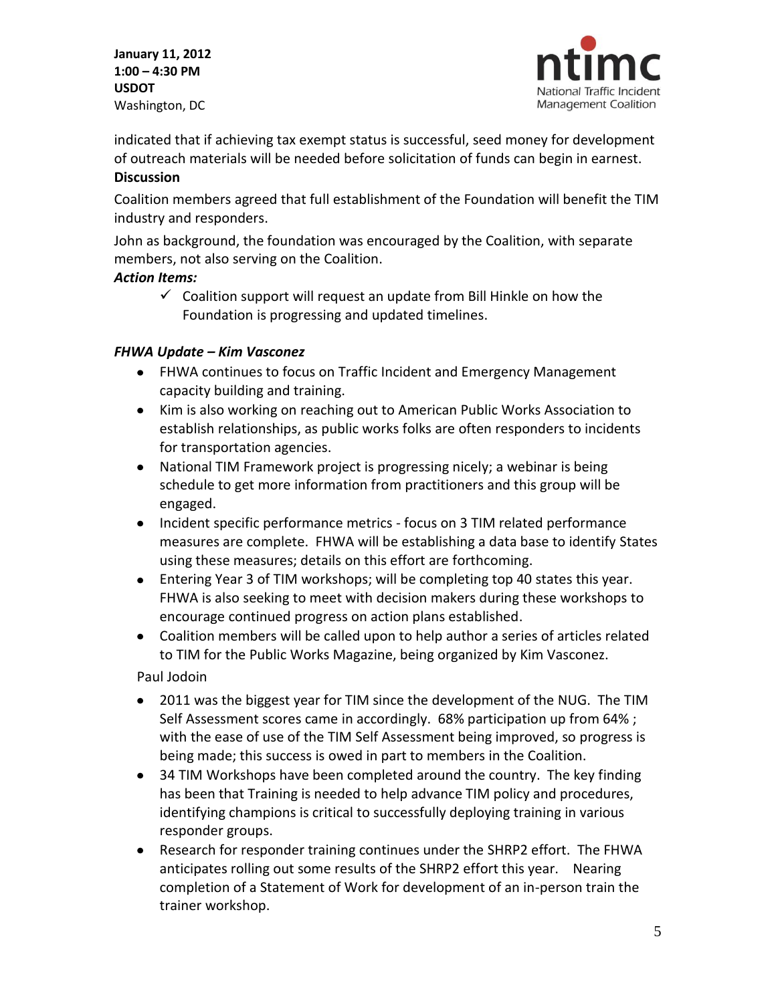

indicated that if achieving tax exempt status is successful, seed money for development of outreach materials will be needed before solicitation of funds can begin in earnest.

#### **Discussion**

Coalition members agreed that full establishment of the Foundation will benefit the TIM industry and responders.

John as background, the foundation was encouraged by the Coalition, with separate members, not also serving on the Coalition.

# *Action Items:*

 $\checkmark$  Coalition support will request an update from Bill Hinkle on how the Foundation is progressing and updated timelines.

# *FHWA Update – Kim Vasconez*

- FHWA continues to focus on Traffic Incident and Emergency Management capacity building and training.
- Kim is also working on reaching out to American Public Works Association to establish relationships, as public works folks are often responders to incidents for transportation agencies.
- National TIM Framework project is progressing nicely; a webinar is being schedule to get more information from practitioners and this group will be engaged.
- Incident specific performance metrics focus on 3 TIM related performance measures are complete. FHWA will be establishing a data base to identify States using these measures; details on this effort are forthcoming.
- Entering Year 3 of TIM workshops; will be completing top 40 states this year. FHWA is also seeking to meet with decision makers during these workshops to encourage continued progress on action plans established.
- Coalition members will be called upon to help author a series of articles related to TIM for the Public Works Magazine, being organized by Kim Vasconez.

Paul Jodoin

- 2011 was the biggest year for TIM since the development of the NUG. The TIM Self Assessment scores came in accordingly. 68% participation up from 64% ; with the ease of use of the TIM Self Assessment being improved, so progress is being made; this success is owed in part to members in the Coalition.
- 34 TIM Workshops have been completed around the country. The key finding has been that Training is needed to help advance TIM policy and procedures, identifying champions is critical to successfully deploying training in various responder groups.
- Research for responder training continues under the SHRP2 effort. The FHWA anticipates rolling out some results of the SHRP2 effort this year. Nearing completion of a Statement of Work for development of an in-person train the trainer workshop.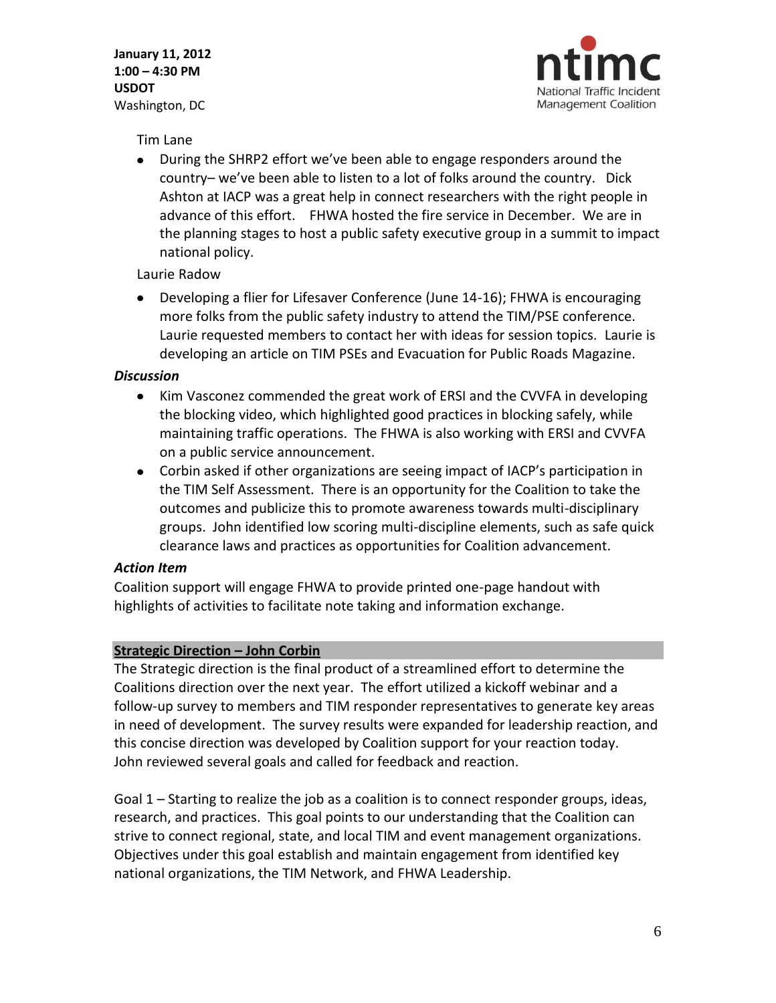

Tim Lane

During the SHRP2 effort we've been able to engage responders around the country– we've been able to listen to a lot of folks around the country. Dick Ashton at IACP was a great help in connect researchers with the right people in advance of this effort. FHWA hosted the fire service in December. We are in the planning stages to host a public safety executive group in a summit to impact national policy.

# Laurie Radow

Developing a flier for Lifesaver Conference (June 14-16); FHWA is encouraging more folks from the public safety industry to attend the TIM/PSE conference. Laurie requested members to contact her with ideas for session topics. Laurie is developing an article on TIM PSEs and Evacuation for Public Roads Magazine.

#### *Discussion*

- Kim Vasconez commended the great work of ERSI and the CVVFA in developing the blocking video, which highlighted good practices in blocking safely, while maintaining traffic operations. The FHWA is also working with ERSI and CVVFA on a public service announcement.
- Corbin asked if other organizations are seeing impact of IACP's participation in the TIM Self Assessment. There is an opportunity for the Coalition to take the outcomes and publicize this to promote awareness towards multi-disciplinary groups. John identified low scoring multi-discipline elements, such as safe quick clearance laws and practices as opportunities for Coalition advancement.

# *Action Item*

Coalition support will engage FHWA to provide printed one-page handout with highlights of activities to facilitate note taking and information exchange.

# **Strategic Direction – John Corbin**

The Strategic direction is the final product of a streamlined effort to determine the Coalitions direction over the next year. The effort utilized a kickoff webinar and a follow-up survey to members and TIM responder representatives to generate key areas in need of development. The survey results were expanded for leadership reaction, and this concise direction was developed by Coalition support for your reaction today. John reviewed several goals and called for feedback and reaction.

Goal 1 – Starting to realize the job as a coalition is to connect responder groups, ideas, research, and practices. This goal points to our understanding that the Coalition can strive to connect regional, state, and local TIM and event management organizations. Objectives under this goal establish and maintain engagement from identified key national organizations, the TIM Network, and FHWA Leadership.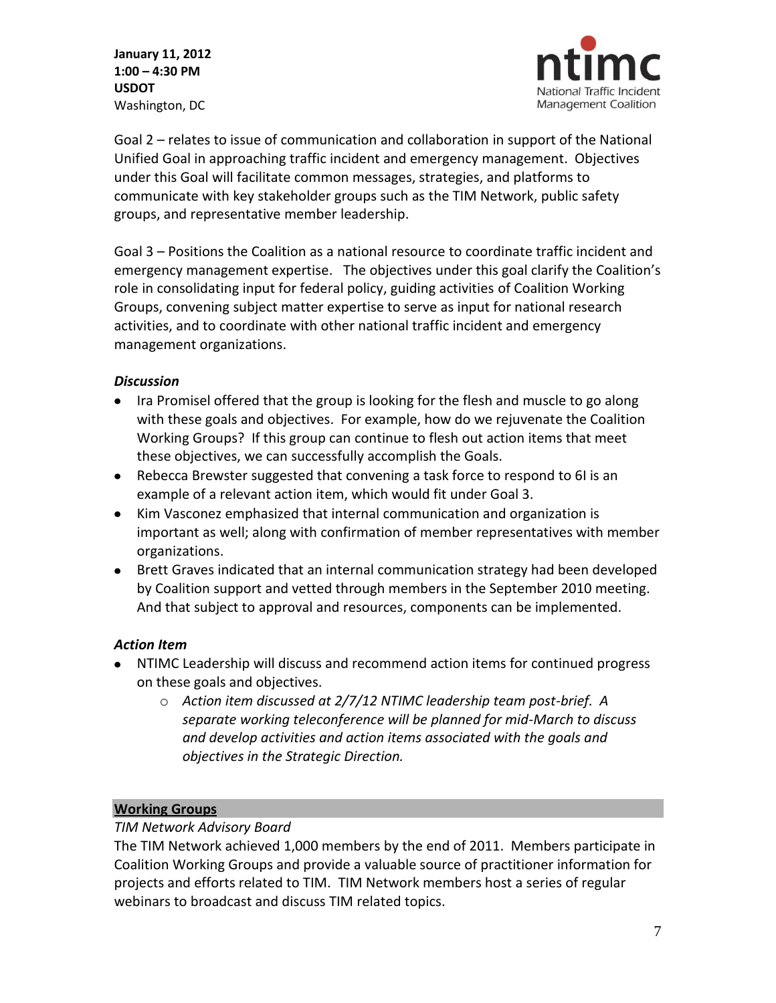

Goal 2 – relates to issue of communication and collaboration in support of the National Unified Goal in approaching traffic incident and emergency management. Objectives under this Goal will facilitate common messages, strategies, and platforms to communicate with key stakeholder groups such as the TIM Network, public safety groups, and representative member leadership.

Goal 3 – Positions the Coalition as a national resource to coordinate traffic incident and emergency management expertise. The objectives under this goal clarify the Coalition's role in consolidating input for federal policy, guiding activities of Coalition Working Groups, convening subject matter expertise to serve as input for national research activities, and to coordinate with other national traffic incident and emergency management organizations.

# *Discussion*

- Ira Promisel offered that the group is looking for the flesh and muscle to go along with these goals and objectives. For example, how do we rejuvenate the Coalition Working Groups? If this group can continue to flesh out action items that meet these objectives, we can successfully accomplish the Goals.
- Rebecca Brewster suggested that convening a task force to respond to 6I is an example of a relevant action item, which would fit under Goal 3.
- Kim Vasconez emphasized that internal communication and organization is important as well; along with confirmation of member representatives with member organizations.
- Brett Graves indicated that an internal communication strategy had been developed by Coalition support and vetted through members in the September 2010 meeting. And that subject to approval and resources, components can be implemented.

# *Action Item*

- NTIMC Leadership will discuss and recommend action items for continued progress on these goals and objectives.
	- o *Action item discussed at 2/7/12 NTIMC leadership team post-brief. A separate working teleconference will be planned for mid-March to discuss and develop activities and action items associated with the goals and objectives in the Strategic Direction.*

# **Working Groups**

# *TIM Network Advisory Board*

The TIM Network achieved 1,000 members by the end of 2011. Members participate in Coalition Working Groups and provide a valuable source of practitioner information for projects and efforts related to TIM. TIM Network members host a series of regular webinars to broadcast and discuss TIM related topics.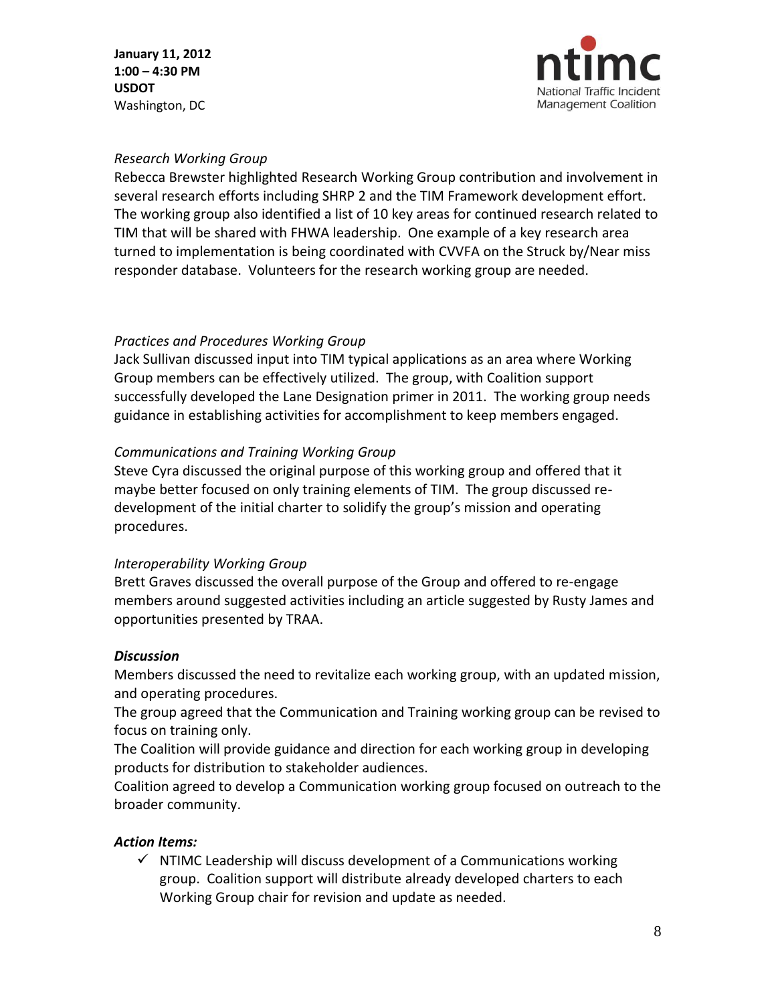

#### *Research Working Group*

Rebecca Brewster highlighted Research Working Group contribution and involvement in several research efforts including SHRP 2 and the TIM Framework development effort. The working group also identified a list of 10 key areas for continued research related to TIM that will be shared with FHWA leadership. One example of a key research area turned to implementation is being coordinated with CVVFA on the Struck by/Near miss responder database. Volunteers for the research working group are needed.

#### *Practices and Procedures Working Group*

Jack Sullivan discussed input into TIM typical applications as an area where Working Group members can be effectively utilized. The group, with Coalition support successfully developed the Lane Designation primer in 2011. The working group needs guidance in establishing activities for accomplishment to keep members engaged.

# *Communications and Training Working Group*

Steve Cyra discussed the original purpose of this working group and offered that it maybe better focused on only training elements of TIM. The group discussed redevelopment of the initial charter to solidify the group's mission and operating procedures.

# *Interoperability Working Group*

Brett Graves discussed the overall purpose of the Group and offered to re-engage members around suggested activities including an article suggested by Rusty James and opportunities presented by TRAA.

#### *Discussion*

Members discussed the need to revitalize each working group, with an updated mission, and operating procedures.

The group agreed that the Communication and Training working group can be revised to focus on training only.

The Coalition will provide guidance and direction for each working group in developing products for distribution to stakeholder audiences.

Coalition agreed to develop a Communication working group focused on outreach to the broader community.

#### *Action Items:*

 $\checkmark$  NTIMC Leadership will discuss development of a Communications working group. Coalition support will distribute already developed charters to each Working Group chair for revision and update as needed.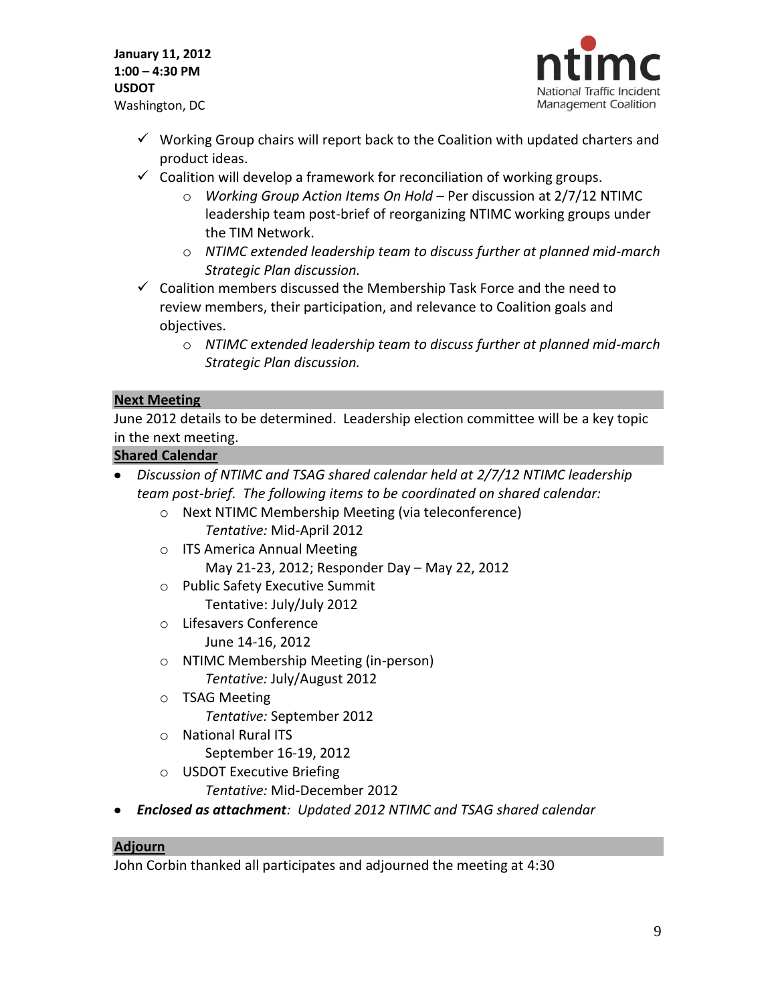

- $\checkmark$  Working Group chairs will report back to the Coalition with updated charters and product ideas.
- $\checkmark$  Coalition will develop a framework for reconciliation of working groups.
	- o *Working Group Action Items On Hold* Per discussion at 2/7/12 NTIMC leadership team post-brief of reorganizing NTIMC working groups under the TIM Network.
	- o *NTIMC extended leadership team to discuss further at planned mid-march Strategic Plan discussion.*
- $\checkmark$  Coalition members discussed the Membership Task Force and the need to review members, their participation, and relevance to Coalition goals and objectives.
	- o *NTIMC extended leadership team to discuss further at planned mid-march Strategic Plan discussion.*

#### **Next Meeting**

June 2012 details to be determined. Leadership election committee will be a key topic in the next meeting.

#### **Shared Calendar**

- *Discussion of NTIMC and TSAG shared calendar held at 2/7/12 NTIMC leadership team post-brief. The following items to be coordinated on shared calendar:*
	- o Next NTIMC Membership Meeting (via teleconference) *Tentative:* Mid-April 2012
	- o ITS America Annual Meeting May 21-23, 2012; Responder Day – May 22, 2012
	- o Public Safety Executive Summit Tentative: July/July 2012
	- o Lifesavers Conference June 14-16, 2012
	- o NTIMC Membership Meeting (in-person) *Tentative:* July/August 2012
	- o TSAG Meeting *Tentative:* September 2012
	- o National Rural ITS September 16-19, 2012
	- o USDOT Executive Briefing *Tentative:* Mid-December 2012
- *Enclosed as attachment: Updated 2012 NTIMC and TSAG shared calendar*

#### **Adjourn**

John Corbin thanked all participates and adjourned the meeting at 4:30